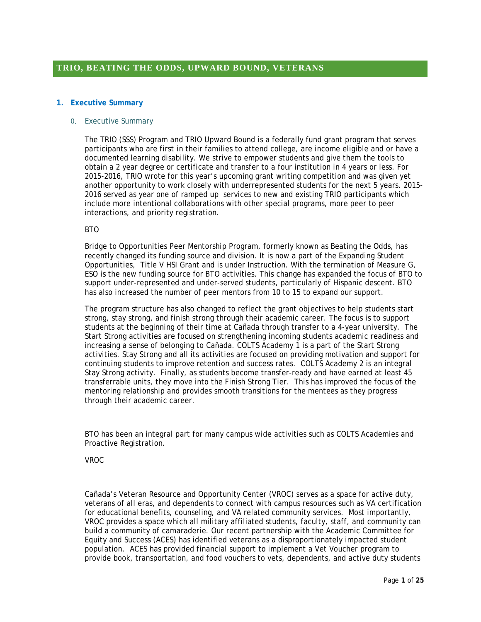### **1. Executive Summary**

### 0. Executive Summary

The TRIO (SSS) Program and TRIO Upward Bound is a federally fund grant program that serves participants who are first in their families to attend college, are income eligible and or have a documented learning disability. We strive to empower students and give them the tools to obtain a 2 year degree or certificate and transfer to a four institution in 4 years or less. For 2015-2016, TRIO wrote for this year's upcoming grant writing competition and was given yet another opportunity to work closely with underrepresented students for the next 5 years. 2015- 2016 served as year one of ramped up services to new and existing TRIO participants which include more intentional collaborations with other special programs, more peer to peer interactions, and priority registration.

### **BTO**

Bridge to Opportunities Peer Mentorship Program, formerly known as Beating the Odds, has recently changed its funding source and division. It is now a part of the Expanding Student Opportunities, Title V HSI Grant and is under Instruction. With the termination of Measure G, ESO is the new funding source for BTO activities. This change has expanded the focus of BTO to support under-represented and under-served students, particularly of Hispanic descent. BTO has also increased the number of peer mentors from 10 to 15 to expand our support.

The program structure has also changed to reflect the grant objectives to help students start strong, stay strong, and finish strong through their academic career. The focus is to support students at the beginning of their time at Cañada through transfer to a 4-year university. The Start Strong activities are focused on strengthening incoming students academic readiness and increasing a sense of belonging to Cañada. COLTS Academy 1 is a part of the Start Strong activities. Stay Strong and all its activities are focused on providing motivation and support for continuing students to improve retention and success rates. COLTS Academy 2 is an integral Stay Strong activity. Finally, as students become transfer-ready and have earned at least 45 transferrable units, they move into the Finish Strong Tier. This has improved the focus of the mentoring relationship and provides smooth transitions for the mentees as they progress through their academic career.

BTO has been an integral part for many campus wide activities such as COLTS Academies and Proactive Registration.

#### VROC

Cañada's Veteran Resource and Opportunity Center (VROC) serves as a space for active duty, veterans of all eras, and dependents to connect with campus resources such as VA certification for educational benefits, counseling, and VA related community services. Most importantly, VROC provides a space which all military affiliated students, faculty, staff, and community can build a community of camaraderie. Our recent partnership with the Academic Committee for Equity and Success (ACES) has identified veterans as a disproportionately impacted student population. ACES has provided financial support to implement a Vet Voucher program to provide book, transportation, and food vouchers to vets, dependents, and active duty students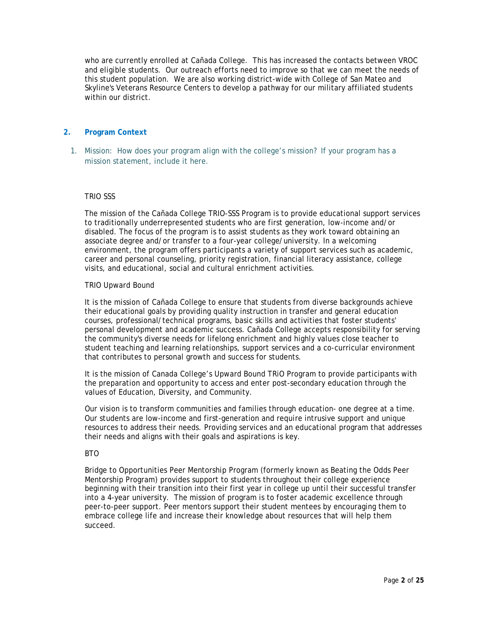who are currently enrolled at Cañada College. This has increased the contacts between VROC and eligible students. Our outreach efforts need to improve so that we can meet the needs of this student population. We are also working district-wide with College of San Mateo and Skyline's Veterans Resource Centers to develop a pathway for our military affiliated students within our district.

## **2. Program Context**

1. Mission: How does your program align with the college's mission? If your program has a mission statement, include it here.

## TRIO SSS

The mission of the Cañada College TRIO-SSS Program is to provide educational support services to traditionally underrepresented students who are first generation, low-income and/or disabled. The focus of the program is to assist students as they work toward obtaining an associate degree and/or transfer to a four-year college/university. In a welcoming environment, the program offers participants a variety of support services such as academic, career and personal counseling, priority registration, financial literacy assistance, college visits, and educational, social and cultural enrichment activities.

### TRIO Upward Bound

It is the mission of Cañada College to ensure that students from diverse backgrounds achieve their educational goals by providing quality instruction in transfer and general education courses, professional/technical programs, basic skills and activities that foster students' personal development and academic success. Cañada College accepts responsibility for serving the community's diverse needs for lifelong enrichment and highly values close teacher to student teaching and learning relationships, support services and a co-curricular environment that contributes to personal growth and success for students.

It is the mission of Canada College's Upward Bound TRiO Program to provide participants with the preparation and opportunity to access and enter post-secondary education through the values of Education, Diversity, and Community.

Our vision is to transform communities and families through education- one degree at a time. Our students are low-income and first-generation and require intrusive support and unique resources to address their needs. Providing services and an educational program that addresses their needs and aligns with their goals and aspirations is key.

### BTO

Bridge to Opportunities Peer Mentorship Program (formerly known as Beating the Odds Peer Mentorship Program) provides support to students throughout their college experience beginning with their transition into their first year in college up until their successful transfer into a 4-year university. The mission of program is to foster academic excellence through peer-to-peer support. Peer mentors support their student mentees by encouraging them to embrace college life and increase their knowledge about resources that will help them succeed.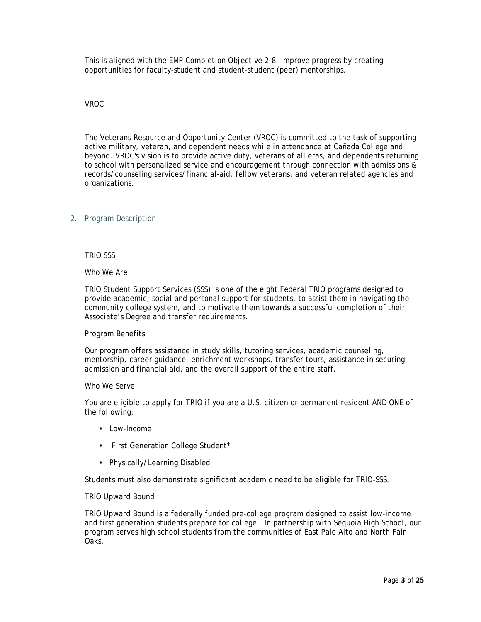This is aligned with the EMP Completion Objective 2.8: Improve progress by creating opportunities for faculty-student and student-student (peer) mentorships.

## VROC

The Veterans Resource and Opportunity Center (VROC) is committed to the task of supporting active military, veteran, and dependent needs while in attendance at Cañada College and beyond. VROC's vision is to provide active duty, veterans of all eras, and dependents returning to school with personalized service and encouragement through connection with admissions & records/counseling services/financial-aid, fellow veterans, and veteran related agencies and organizations.

## 2. Program Description

TRIO SSS

## Who We Are

TRIO Student Support Services (SSS) is one of the eight Federal TRIO programs designed to provide academic, social and personal support for students, to assist them in navigating the community college system, and to motivate them towards a successful completion of their Associate's Degree and transfer requirements.

## Program Benefits

Our program offers assistance in study skills, tutoring services, academic counseling, mentorship, career guidance, enrichment workshops, transfer tours, assistance in securing admission and financial aid, and the overall support of the entire staff.

#### Who We Serve

You are eligible to apply for TRIO if you are a U.S. citizen or permanent resident AND ONE of the following:

- Low-Income
- First Generation College Student\*
- Physically/Learning Disabled

Students must also demonstrate significant academic need to be eligible for TRIO-SSS.

## TRIO Upward Bound

TRIO Upward Bound is a federally funded pre-college program designed to assist low-income and first generation students prepare for college. In partnership with Sequoia High School, our program serves high school students from the communities of East Palo Alto and North Fair Oaks.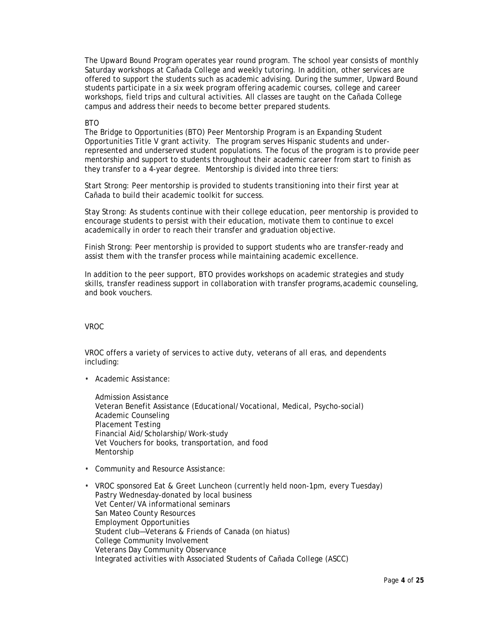The Upward Bound Program operates year round program. The school year consists of monthly Saturday workshops at Cañada College and weekly tutoring. In addition, other services are offered to support the students such as academic advising. During the summer, Upward Bound students participate in a six week program offering academic courses, college and career workshops, field trips and cultural activities. All classes are taught on the Cañada College campus and address their needs to become better prepared students.

### **BTO**

The Bridge to Opportunities (BTO) Peer Mentorship Program is an Expanding Student Opportunities Title V grant activity. The program serves Hispanic students and underrepresented and underserved student populations. The focus of the program is to provide peer mentorship and support to students throughout their academic career from start to finish as they transfer to a 4-year degree. Mentorship is divided into three tiers:

Start Strong: Peer mentorship is provided to students transitioning into their first year at Cañada to build their academic toolkit for success.

Stay Strong: As students continue with their college education, peer mentorship is provided to encourage students to persist with their education, motivate them to continue to excel academically in order to reach their transfer and graduation objective.

Finish Strong: Peer mentorship is provided to support students who are transfer-ready and assist them with the transfer process while maintaining academic excellence.

In addition to the peer support, BTO provides workshops on academic strategies and study skills, transfer readiness support in collaboration with transfer programs,academic counseling, and book vouchers.

## VROC

VROC offers a variety of services to active duty, veterans of all eras, and dependents including:

• Academic Assistance:

Admission Assistance Veteran Benefit Assistance (Educational/Vocational, Medical, Psycho-social) Academic Counseling Placement Testing Financial Aid/Scholarship/Work-study Vet Vouchers for books, transportation, and food Mentorship

- Community and Resource Assistance:
- VROC sponsored Eat & Greet Luncheon (currently held noon-1pm, every Tuesday) Pastry Wednesday-donated by local business Vet Center/VA informational seminars San Mateo County Resources Employment Opportunities Student club—Veterans & Friends of Canada (on hiatus) College Community Involvement Veterans Day Community Observance Integrated activities with Associated Students of Cañada College (ASCC)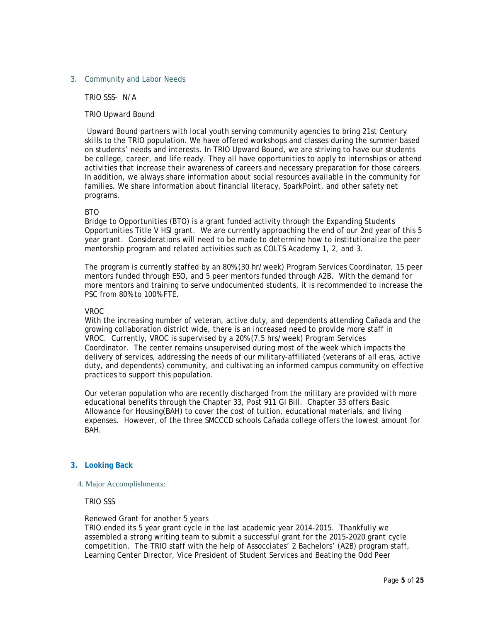### 3. Community and Labor Needs

TRIO SSS- N/A

### TRIO Upward Bound

Upward Bound partners with local youth serving community agencies to bring 21st Century skills to the TRIO population. We have offered workshops and classes during the summer based on students' needs and interests. In TRIO Upward Bound, we are striving to have our students be college, career, and life ready. They all have opportunities to apply to internships or attend activities that increase their awareness of careers and necessary preparation for those careers. In addition, we always share information about social resources available in the community for families. We share information about financial literacy, SparkPoint, and other safety net programs.

### BTO

Bridge to Opportunities (BTO) is a grant funded activity through the Expanding Students Opportunities Title V HSI grant. We are currently approaching the end of our 2nd year of this 5 year grant. Considerations will need to be made to determine how to institutionalize the peer mentorship program and related activities such as COLTS Academy 1, 2, and 3.

The program is currently staffed by an 80% (30 hr/week) Program Services Coordinator, 15 peer mentors funded through ESO, and 5 peer mentors funded through A2B. With the demand for more mentors and training to serve undocumented students, it is recommended to increase the PSC from 80% to 100% FTE.

#### VROC

With the increasing number of veteran, active duty, and dependents attending Cañada and the growing collaboration district wide, there is an increased need to provide more staff in VROC. Currently, VROC is supervised by a 20% (7.5 hrs/week) Program Services Coordinator. The center remains unsupervised during most of the week which impacts the delivery of services, addressing the needs of our military-affiliated (veterans of all eras, active duty, and dependents) community, and cultivating an informed campus community on effective practices to support this population.

Our veteran population who are recently discharged from the military are provided with more educational benefits through the Chapter 33, Post 911 GI Bill. Chapter 33 offers Basic Allowance for Housing(BAH) to cover the cost of tuition, educational materials, and living expenses. However, of the three SMCCCD schools Cañada college offers the lowest amount for BAH.

## **3. Looking Back**

#### 4. Major Accomplishments:

TRIO SSS

#### Renewed Grant for another 5 years

TRIO ended its 5 year grant cycle in the last academic year 2014-2015. Thankfully we assembled a strong writing team to submit a successful grant for the 2015-2020 grant cycle competition. The TRIO staff with the help of Assocciates' 2 Bachelors' (A2B) program staff, Learning Center Director, Vice President of Student Services and Beating the Odd Peer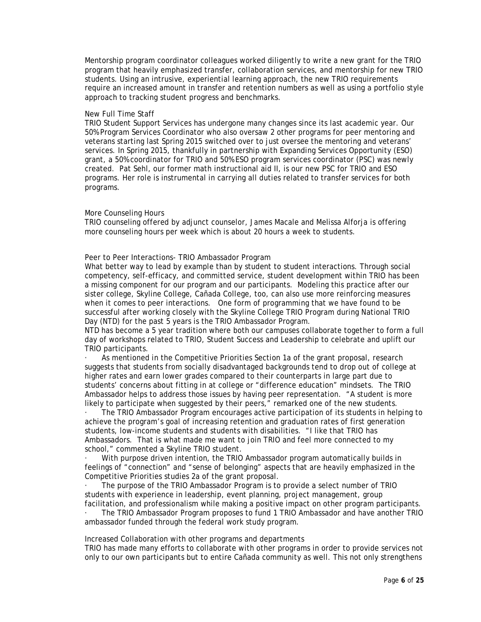Mentorship program coordinator colleagues worked diligently to write a new grant for the TRIO program that heavily emphasized transfer, collaboration services, and mentorship for new TRIO students. Using an intrusive, experiential learning approach, the new TRIO requirements require an increased amount in transfer and retention numbers as well as using a portfolio style approach to tracking student progress and benchmarks.

### New Full Time Staff

TRIO Student Support Services has undergone many changes since its last academic year. Our 50% Program Services Coordinator who also oversaw 2 other programs for peer mentoring and veterans starting last Spring 2015 switched over to just oversee the mentoring and veterans' services. In Spring 2015, thankfully in partnership with Expanding Services Opportunity (ESO) grant, a 50% coordinator for TRIO and 50% ESO program services coordinator (PSC) was newly created. Pat Sehl, our former math instructional aid II, is our new PSC for TRIO and ESO programs. Her role is instrumental in carrying all duties related to transfer services for both programs.

### More Counseling Hours

TRIO counseling offered by adjunct counselor, James Macale and Melissa Alforja is offering more counseling hours per week which is about 20 hours a week to students.

Peer to Peer Interactions- TRIO Ambassador Program

What better way to lead by example than by student to student interactions. Through social competency, self-efficacy, and committed service, student development within TRIO has been a missing component for our program and our participants. Modeling this practice after our sister college, Skyline College, Cañada College, too, can also use more reinforcing measures when it comes to peer interactions. One form of programming that we have found to be successful after working closely with the Skyline College TRIO Program during National TRIO Day (NTD) for the past 5 years is the TRIO Ambassador Program.

NTD has become a 5 year tradition where both our campuses collaborate together to form a full day of workshops related to TRIO, Student Success and Leadership to celebrate and uplift our TRIO participants.

As mentioned in the Competitive Priorities Section 1a of the grant proposal, research suggests that students from socially disadvantaged backgrounds tend to drop out of college at higher rates and earn lower grades compared to their counterparts in large part due to students' concerns about fitting in at college or "difference education" mindsets. The TRIO Ambassador helps to address those issues by having peer representation. "A student is more likely to participate when suggested by their peers," remarked one of the new students.

· The TRIO Ambassador Program encourages active participation of its students in helping to achieve the program's goal of increasing retention and graduation rates of first generation students, low-income students and students with disabilities. "I like that TRIO has Ambassadors. That is what made me want to join TRIO and feel more connected to my school," commented a Skyline TRIO student.

· With purpose driven intention, the TRIO Ambassador program automatically builds in feelings of "connection" and "sense of belonging" aspects that are heavily emphasized in the Competitive Priorities studies 2a of the grant proposal.

· The purpose of the TRIO Ambassador Program is to provide a select number of TRIO students with experience in leadership, event planning, project management, group facilitation, and professionalism while making a positive impact on other program participants.

· The TRIO Ambassador Program proposes to fund 1 TRIO Ambassador and have another TRIO ambassador funded through the federal work study program.

Increased Collaboration with other programs and departments

TRIO has made many efforts to collaborate with other programs in order to provide services not only to our own participants but to entire Cañada community as well. This not only strengthens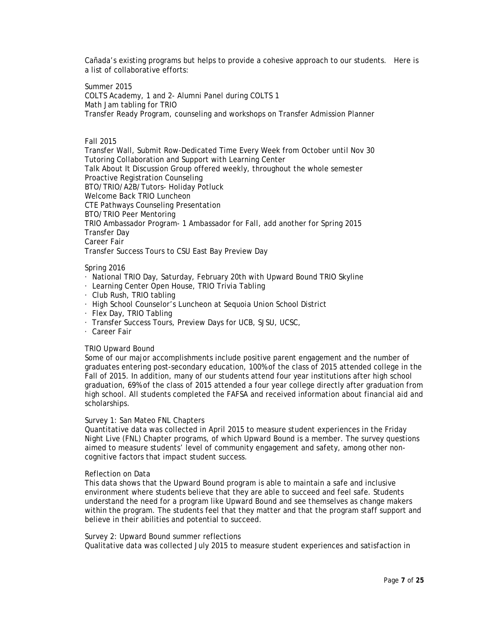Cañada's existing programs but helps to provide a cohesive approach to our students. Here is a list of collaborative efforts:

Summer 2015 COLTS Academy, 1 and 2- Alumni Panel during COLTS 1 Math Jam tabling for TRIO Transfer Ready Program, counseling and workshops on Transfer Admission Planner

### Fall 2015

Transfer Wall, Submit Row-Dedicated Time Every Week from October until Nov 30 Tutoring Collaboration and Support with Learning Center Talk About It Discussion Group offered weekly, throughout the whole semester Proactive Registration Counseling BTO/TRIO/A2B/Tutors- Holiday Potluck Welcome Back TRIO Luncheon CTE Pathways Counseling Presentation BTO/TRIO Peer Mentoring TRIO Ambassador Program- 1 Ambassador for Fall, add another for Spring 2015 Transfer Day Career Fair Transfer Success Tours to CSU East Bay Preview Day

## Spring 2016

- · National TRIO Day, Saturday, February 20th with Upward Bound TRIO Skyline
- · Learning Center Open House, TRIO Trivia Tabling
- · Club Rush, TRIO tabling
- · High School Counselor's Luncheon at Sequoia Union School District
- · Flex Day, TRIO Tabling
- · Transfer Success Tours, Preview Days for UCB, SJSU, UCSC,
- · Career Fair

## TRIO Upward Bound

Some of our major accomplishments include positive parent engagement and the number of graduates entering post-secondary education, 100% of the class of 2015 attended college in the Fall of 2015. In addition, many of our students attend four year institutions after high school graduation, 69% of the class of 2015 attended a four year college directly after graduation from high school. All students completed the FAFSA and received information about financial aid and scholarships.

## Survey 1: San Mateo FNL Chapters

Quantitative data was collected in April 2015 to measure student experiences in the Friday Night Live (FNL) Chapter programs, of which Upward Bound is a member. The survey questions aimed to measure students' level of community engagement and safety, among other noncognitive factors that impact student success.

#### Reflection on Data

This data shows that the Upward Bound program is able to maintain a safe and inclusive environment where students believe that they are able to succeed and feel safe. Students understand the need for a program like Upward Bound and see themselves as change makers within the program. The students feel that they matter and that the program staff support and believe in their abilities and potential to succeed.

Survey 2: Upward Bound summer reflections

Qualitative data was collected July 2015 to measure student experiences and satisfaction in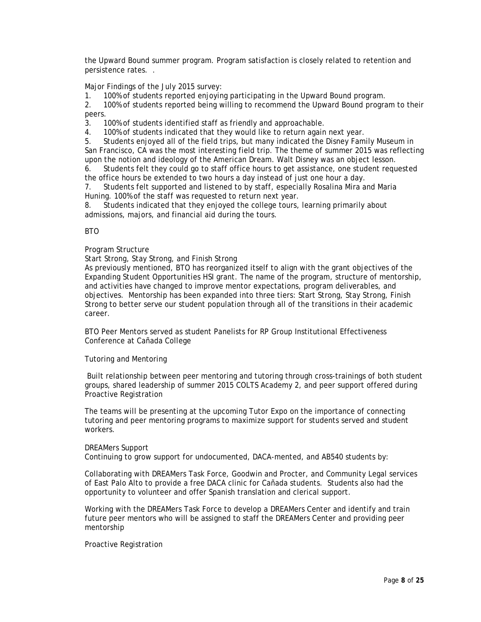the Upward Bound summer program. Program satisfaction is closely related to retention and persistence rates. .

Major Findings of the July 2015 survey:

1. 100% of students reported enjoying participating in the Upward Bound program.

2. 100% of students reported being willing to recommend the Upward Bound program to their peers.

3. 100% of students identified staff as friendly and approachable.

4. 100% of students indicated that they would like to return again next year.

5. Students enjoyed all of the field trips, but many indicated the Disney Family Museum in San Francisco, CA was the most interesting field trip. The theme of summer 2015 was reflecting upon the notion and ideology of the American Dream. Walt Disney was an object lesson.

6. Students felt they could go to staff office hours to get assistance, one student requested the office hours be extended to two hours a day instead of just one hour a day.

7. Students felt supported and listened to by staff, especially Rosalina Mira and Maria Huning. 100% of the staff was requested to return next year.

8. Students indicated that they enjoyed the college tours, learning primarily about admissions, majors, and financial aid during the tours.

BTO

### Program Structure

Start Strong, Stay Strong, and Finish Strong

As previously mentioned, BTO has reorganized itself to align with the grant objectives of the Expanding Student Opportunities HSI grant. The name of the program, structure of mentorship, and activities have changed to improve mentor expectations, program deliverables, and objectives. Mentorship has been expanded into three tiers: Start Strong, Stay Strong, Finish Strong to better serve our student population through all of the transitions in their academic career.

BTO Peer Mentors served as student Panelists for RP Group Institutional Effectiveness Conference at Cañada College

Tutoring and Mentoring

Built relationship between peer mentoring and tutoring through cross-trainings of both student groups, shared leadership of summer 2015 COLTS Academy 2, and peer support offered during Proactive Registration

The teams will be presenting at the upcoming Tutor Expo on the importance of connecting tutoring and peer mentoring programs to maximize support for students served and student workers.

#### DREAMers Support

Continuing to grow support for undocumented, DACA-mented, and AB540 students by:

Collaborating with DREAMers Task Force, Goodwin and Procter, and Community Legal services of East Palo Alto to provide a free DACA clinic for Cañada students. Students also had the opportunity to volunteer and offer Spanish translation and clerical support.

Working with the DREAMers Task Force to develop a DREAMers Center and identify and train future peer mentors who will be assigned to staff the DREAMers Center and providing peer mentorship

Proactive Registration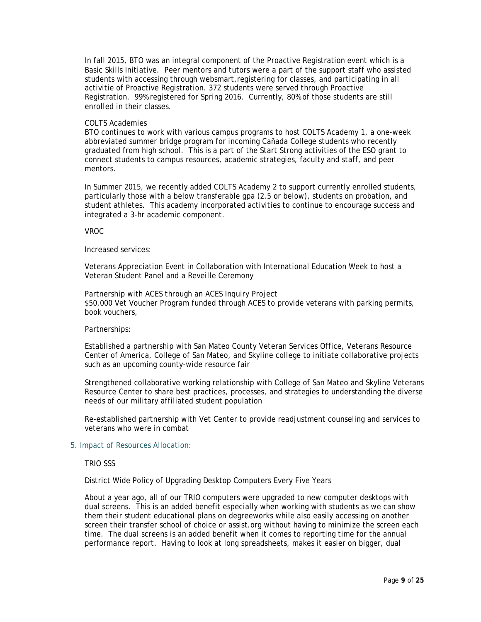In fall 2015, BTO was an integral component of the Proactive Registration event which is a Basic Skills Initiative. Peer mentors and tutors were a part of the support staff who assisted students with accessing through websmart,registering for classes, and participating in all activitie of Proactive Registration. 372 students were served through Proactive Registration. 99% registered for Spring 2016. Currently, 80% of those students are still enrolled in their classes.

#### COLTS Academies

BTO continues to work with various campus programs to host COLTS Academy 1, a one-week abbreviated summer bridge program for incoming Cañada College students who recently graduated from high school. This is a part of the Start Strong activities of the ESO grant to connect students to campus resources, academic strategies, faculty and staff, and peer mentors.

In Summer 2015, we recently added COLTS Academy 2 to support currently enrolled students, particularly those with a below transferable gpa (2.5 or below), students on probation, and student athletes. This academy incorporated activities to continue to encourage success and integrated a 3-hr academic component.

#### VROC

#### Increased services:

Veterans Appreciation Event in Collaboration with International Education Week to host a Veteran Student Panel and a Reveille Ceremony

Partnership with ACES through an ACES Inquiry Project \$50,000 Vet Voucher Program funded through ACES to provide veterans with parking permits, book vouchers,

#### Partnerships:

Established a partnership with San Mateo County Veteran Services Office, Veterans Resource Center of America, College of San Mateo, and Skyline college to initiate collaborative projects such as an upcoming county-wide resource fair

Strengthened collaborative working relationship with College of San Mateo and Skyline Veterans Resource Center to share best practices, processes, and strategies to understanding the diverse needs of our military affiliated student population

Re-established partnership with Vet Center to provide readjustment counseling and services to veterans who were in combat

#### 5. Impact of Resources Allocation:

### TRIO SSS

District Wide Policy of Upgrading Desktop Computers Every Five Years

About a year ago, all of our TRIO computers were upgraded to new computer desktops with dual screens. This is an added benefit especially when working with students as we can show them their student educational plans on degreeworks while also easily accessing on another screen their transfer school of choice or assist.org without having to minimize the screen each time. The dual screens is an added benefit when it comes to reporting time for the annual performance report. Having to look at long spreadsheets, makes it easier on bigger, dual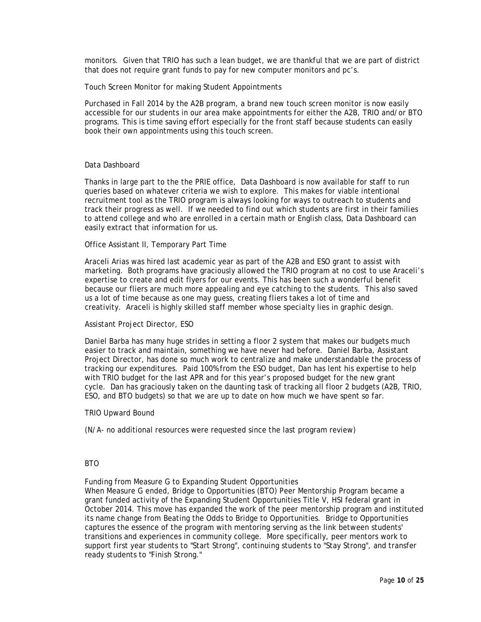monitors. Given that TRIO has such a lean budget, we are thankful that we are part of district that does not require grant funds to pay for new computer monitors and pc's.

#### Touch Screen Monitor for making Student Appointments

Purchased in Fall 2014 by the A2B program, a brand new touch screen monitor is now easily accessible for our students in our area make appointments for either the A2B, TRIO and/or BTO programs. This is time saving effort especially for the front staff because students can easily book their own appointments using this touch screen.

### Data Dashboard

Thanks in large part to the the PRIE office, Data Dashboard is now available for staff to run queries based on whatever criteria we wish to explore. This makes for viable intentional recruitment tool as the TRIO program is always looking for ways to outreach to students and track their progress as well. If we needed to find out which students are first in their families to attend college and who are enrolled in a certain math or English class, Data Dashboard can easily extract that information for us.

### Office Assistant II, Temporary Part Time

Araceli Arias was hired last academic year as part of the A2B and ESO grant to assist with marketing. Both programs have graciously allowed the TRIO program at no cost to use Araceli's expertise to create and edit flyers for our events. This has been such a wonderful benefit because our fliers are much more appealing and eye catching to the students. This also saved us a lot of time because as one may guess, creating fliers takes a lot of time and creativity. Araceli is highly skilled staff member whose specialty lies in graphic design.

# Assistant Project Director, ESO

Daniel Barba has many huge strides in setting a floor 2 system that makes our budgets much easier to track and maintain, something we have never had before. Daniel Barba, Assistant Project Director, has done so much work to centralize and make understandable the process of tracking our expenditures. Paid 100% from the ESO budget, Dan has lent his expertise to help with TRIO budget for the last APR and for this year's proposed budget for the new grant cycle. Dan has graciously taken on the daunting task of tracking all floor 2 budgets (A2B, TRIO, ESO, and BTO budgets) so that we are up to date on how much we have spent so far.

#### TRIO Upward Bound

(N/A- no additional resources were requested since the last program review)

#### BTO

Funding from Measure G to Expanding Student Opportunities

When Measure G ended, Bridge to Opportunities (BTO) Peer Mentorship Program became a grant funded activity of the Expanding Student Opportunities Title V, HSI federal grant in October 2014. This move has expanded the work of the peer mentorship program and instituted its name change from Beating the Odds to Bridge to Opportunities. Bridge to Opportunities captures the essence of the program with mentoring serving as the link between students' transitions and experiences in community college. More specifically, peer mentors work to support first year students to "Start Strong", continuing students to "Stay Strong", and transfer ready students to "Finish Strong."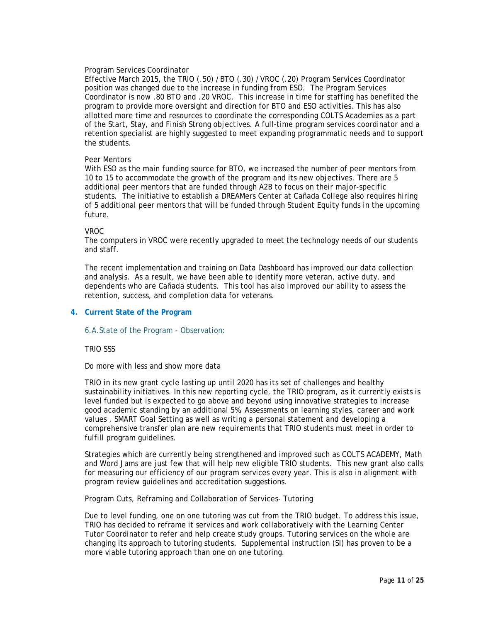## Program Services Coordinator

Effective March 2015, the TRIO (.50) /BTO (.30) /VROC (.20) Program Services Coordinator position was changed due to the increase in funding from ESO. The Program Services Coordinator is now .80 BTO and .20 VROC. This increase in time for staffing has benefited the program to provide more oversight and direction for BTO and ESO activities. This has also allotted more time and resources to coordinate the corresponding COLTS Academies as a part of the Start, Stay, and Finish Strong objectives. A full-time program services coordinator and a retention specialist are highly suggested to meet expanding programmatic needs and to support the students.

#### Peer Mentors

With ESO as the main funding source for BTO, we increased the number of peer mentors from 10 to 15 to accommodate the growth of the program and its new objectives. There are 5 additional peer mentors that are funded through A2B to focus on their major-specific students. The initiative to establish a DREAMers Center at Cañada College also requires hiring of 5 additional peer mentors that will be funded through Student Equity funds in the upcoming future.

#### VROC

The computers in VROC were recently upgraded to meet the technology needs of our students and staff.

The recent implementation and training on Data Dashboard has improved our data collection and analysis. As a result, we have been able to identify more veteran, active duty, and dependents who are Cañada students. This tool has also improved our ability to assess the retention, success, and completion data for veterans.

### **4. Current State of the Program**

#### 6.A.State of the Program - Observation:

#### TRIO SSS

Do more with less and show more data

TRIO in its new grant cycle lasting up until 2020 has its set of challenges and healthy sustainability initiatives. In this new reporting cycle, the TRIO program, as it currently exists is level funded but is expected to go above and beyond using innovative strategies to increase good academic standing by an additional 5%. Assessments on learning styles, career and work values , SMART Goal Setting as well as writing a personal statement and developing a comprehensive transfer plan are new requirements that TRIO students must meet in order to fulfill program guidelines.

Strategies which are currently being strengthened and improved such as COLTS ACADEMY, Math and Word Jams are just few that will help new eligible TRIO students. This new grant also calls for measuring our efficiency of our program services every year. This is also in alignment with program review guidelines and accreditation suggestions.

Program Cuts, Reframing and Collaboration of Services- Tutoring

Due to level funding, one on one tutoring was cut from the TRIO budget. To address this issue, TRIO has decided to reframe it services and work collaboratively with the Learning Center Tutor Coordinator to refer and help create study groups. Tutoring services on the whole are changing its approach to tutoring students. Supplemental instruction (SI) has proven to be a more viable tutoring approach than one on one tutoring.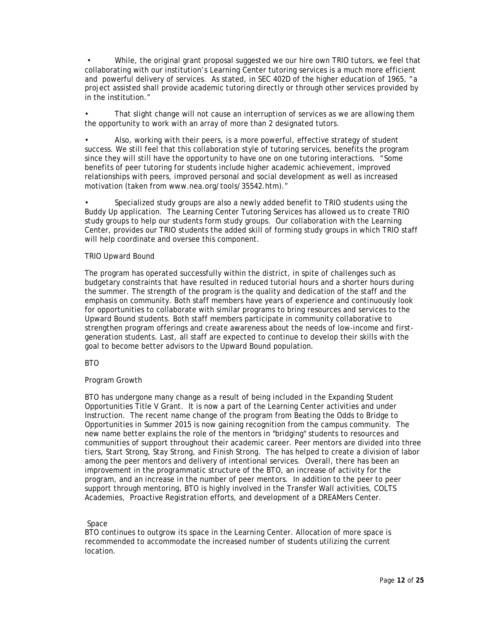• While, the original grant proposal suggested we our hire own TRIO tutors, we feel that collaborating with our institution's Learning Center tutoring services is a much more efficient and powerful delivery of services. As stated, in SEC 402D of the higher education of 1965, "a project assisted shall provide academic tutoring directly or through other services provided by in the institution."

That slight change will not cause an interruption of services as we are allowing them the opportunity to work with an array of more than 2 designated tutors.

• Also, working with their peers, is a more powerful, effective strategy of student success. We still feel that this collaboration style of tutoring services, benefits the program since they will still have the opportunity to have one on one tutoring interactions. "Some benefits of peer tutoring for students include higher academic achievement, improved relationships with peers, improved personal and social development as well as increased motivation (taken from www.nea.org/tools/35542.htm)."

• Specialized study groups are also a newly added benefit to TRIO students using the Buddy Up application. The Learning Center Tutoring Services has allowed us to create TRIO study groups to help our students form study groups. Our collaboration with the Learning Center, provides our TRIO students the added skill of forming study groups in which TRIO staff will help coordinate and oversee this component.

### TRIO Upward Bound

The program has operated successfully within the district, in spite of challenges such as budgetary constraints that have resulted in reduced tutorial hours and a shorter hours during the summer. The strength of the program is the quality and dedication of the staff and the emphasis on community. Both staff members have years of experience and continuously look for opportunities to collaborate with similar programs to bring resources and services to the Upward Bound students. Both staff members participate in community collaborative to strengthen program offerings and create awareness about the needs of low-income and firstgeneration students. Last, all staff are expected to continue to develop their skills with the goal to become better advisors to the Upward Bound population.

**BTO** 

## Program Growth

BTO has undergone many change as a result of being included in the Expanding Student Opportunities Title V Grant. It is now a part of the Learning Center activities and under Instruction. The recent name change of the program from Beating the Odds to Bridge to Opportunities in Summer 2015 is now gaining recognition from the campus community. The new name better explains the role of the mentors in "bridging" students to resources and communities of support throughout their academic career. Peer mentors are divided into three tiers, Start Strong, Stay Strong, and Finish Strong. The has helped to create a division of labor among the peer mentors and delivery of intentional services. Overall, there has been an improvement in the programmatic structure of the BTO, an increase of activity for the program, and an increase in the number of peer mentors. In addition to the peer to peer support through mentoring, BTO is highly involved in the Transfer Wall activities, COLTS Academies, Proactive Registration efforts, and development of a DREAMers Center.

## Space

BTO continues to outgrow its space in the Learning Center. Allocation of more space is recommended to accommodate the increased number of students utilizing the current location.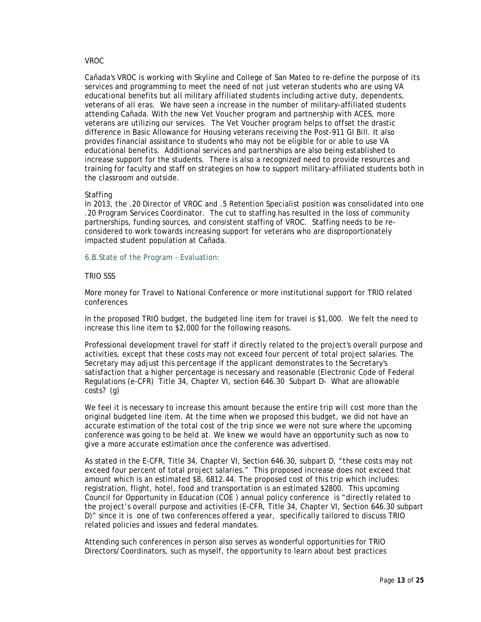### VROC

Cañada's VROC is working with Skyline and College of San Mateo to re-define the purpose of its services and programming to meet the need of not just veteran students who are using VA educational benefits but all military affiliated students including active duty, dependents, veterans of all eras. We have seen a increase in the number of military-affiliated students attending Cañada. With the new Vet Voucher program and partnership with ACES, more veterans are utilizing our services. The Vet Voucher program helps to offset the drastic difference in Basic Allowance for Housing veterans receiving the Post-911 GI Bill. It also provides financial assistance to students who may not be eligible for or able to use VA educational benefits. Additional services and partnerships are also being established to increase support for the students. There is also a recognized need to provide resources and training for faculty and staff on strategies on how to support military-affiliated students both in the classroom and outside.

#### **Staffing**

In 2013, the .20 Director of VROC and .5 Retention Specialist position was consolidated into one .20 Program Services Coordinator. The cut to staffing has resulted in the loss of community partnerships, funding sources, and consistent staffing of VROC. Staffing needs to be reconsidered to work towards increasing support for veterans who are disproportionately impacted student population at Cañada.

### 6.B.State of the Program - Evaluation:

### TRIO SSS

More money for Travel to National Conference or more institutional support for TRIO related conferences

In the proposed TRIO budget, the budgeted line item for travel is \$1,000. We felt the need to increase this line item to \$2,000 for the following reasons.

Professional development travel for staff if directly related to the project's overall purpose and activities, except that these costs may not exceed four percent of total project salaries. The Secretary may adjust this percentage if the applicant demonstrates to the Secretary's satisfaction that a higher percentage is necessary and reasonable (Electronic Code of Federal Regulations (e-CFR) Title 34, Chapter VI, section 646.30 Subpart D- What are allowable costs? (g)

We feel it is necessary to increase this amount because the entire trip will cost more than the original budgeted line item. At the time when we proposed this budget, we did not have an accurate estimation of the total cost of the trip since we were not sure where the upcoming conference was going to be held at. We knew we would have an opportunity such as now to give a more accurate estimation once the conference was advertised.

As stated in the E-CFR, Title 34, Chapter VI, Section 646.30, subpart D, "these costs may not exceed four percent of total project salaries." This proposed increase does not exceed that amount which is an estimated \$8, 6812.44. The proposed cost of this trip which includes: registration, flight, hotel, food and transportation is an estimated \$2800. This upcoming Council for Opportunity in Education (COE ) annual policy conference is "directly related to the project's overall purpose and activities (E-CFR, Title 34, Chapter VI, Section 646.30 subpart D)" since it is one of two conferences offered a year, specifically tailored to discuss TRIO related policies and issues and federal mandates.

Attending such conferences in person also serves as wonderful opportunities for TRIO Directors/Coordinators, such as myself, the opportunity to learn about best practices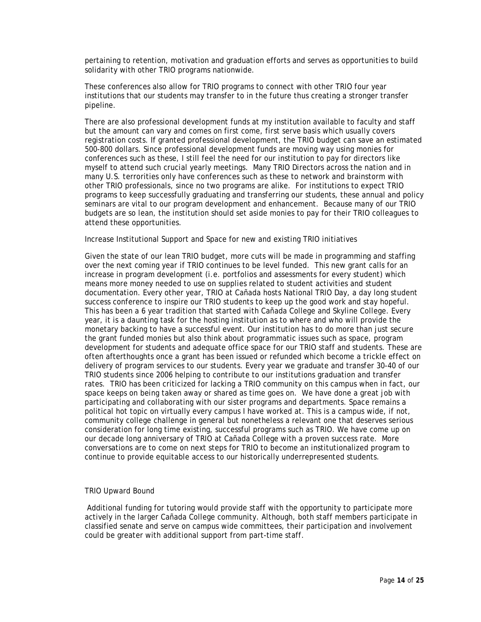pertaining to retention, motivation and graduation efforts and serves as opportunities to build solidarity with other TRIO programs nationwide.

These conferences also allow for TRIO programs to connect with other TRIO four year institutions that our students may transfer to in the future thus creating a stronger transfer pipeline.

There are also professional development funds at my institution available to faculty and staff but the amount can vary and comes on first come, first serve basis which usually covers registration costs. If granted professional development, the TRIO budget can save an estimated 500-800 dollars. Since professional development funds are moving way using monies for conferences such as these, I still feel the need for our institution to pay for directors like myself to attend such crucial yearly meetings. Many TRIO Directors across the nation and in many U.S. terrorities only have conferences such as these to network and brainstorm with other TRIO professionals, since no two programs are alike. For institutions to expect TRIO programs to keep successfully graduating and transferring our students, these annual and policy seminars are vital to our program development and enhancement. Because many of our TRIO budgets are so lean, the institution should set aside monies to pay for their TRIO colleagues to attend these opportunities.

### Increase Institutional Support and Space for new and existing TRIO initiatives

Given the state of our lean TRIO budget, more cuts will be made in programming and staffing over the next coming year if TRIO continues to be level funded. This new grant calls for an increase in program development (i.e. portfolios and assessments for every student) which means more money needed to use on supplies related to student activities and student documentation. Every other year, TRIO at Cañada hosts National TRIO Day, a day long student success conference to inspire our TRIO students to keep up the good work and stay hopeful. This has been a 6 year tradition that started with Cañada College and Skyline College. Every year, it is a daunting task for the hosting institution as to where and who will provide the monetary backing to have a successful event. Our institution has to do more than just secure the grant funded monies but also think about programmatic issues such as space, program development for students and adequate office space for our TRIO staff and students. These are often afterthoughts once a grant has been issued or refunded which become a trickle effect on delivery of program services to our students. Every year we graduate and transfer 30-40 of our TRIO students since 2006 helping to contribute to our institutions graduation and transfer rates. TRIO has been criticized for lacking a TRIO community on this campus when in fact, our space keeps on being taken away or shared as time goes on. We have done a great job with participating and collaborating with our sister programs and departments. Space remains a political hot topic on virtually every campus I have worked at. This is a campus wide, if not, community college challenge in general but nonetheless a relevant one that deserves serious consideration for long time existing, successful programs such as TRIO. We have come up on our decade long anniversary of TRIO at Cañada College with a proven success rate. More conversations are to come on next steps for TRIO to become an institutionalized program to continue to provide equitable access to our historically underrepresented students.

#### TRIO Upward Bound

Additional funding for tutoring would provide staff with the opportunity to participate more actively in the larger Cañada College community. Although, both staff members participate in classified senate and serve on campus wide committees, their participation and involvement could be greater with additional support from part-time staff.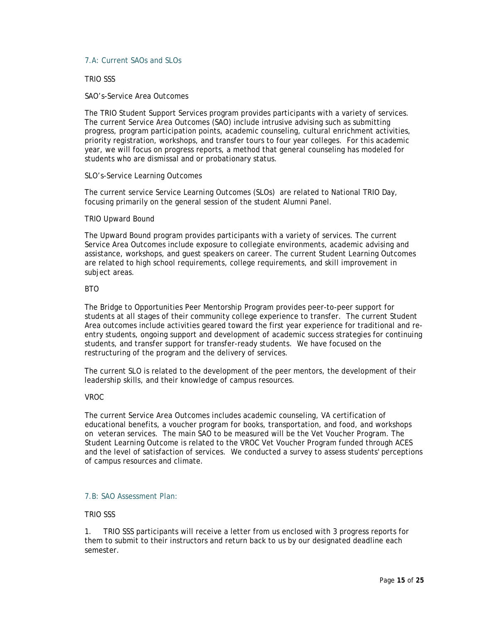## 7.A: Current SAOs and SLOs

### TRIO SSS

### SAO's-Service Area Outcomes

The TRIO Student Support Services program provides participants with a variety of services. The current Service Area Outcomes (SAO) include intrusive advising such as submitting progress, program participation points, academic counseling, cultural enrichment activities, priority registration, workshops, and transfer tours to four year colleges. For this academic year, we will focus on progress reports, a method that general counseling has modeled for students who are dismissal and or probationary status.

#### SLO's-Service Learning Outcomes

The current service Service Learning Outcomes (SLOs) are related to National TRIO Day, focusing primarily on the general session of the student Alumni Panel.

### TRIO Upward Bound

The Upward Bound program provides participants with a variety of services. The current Service Area Outcomes include exposure to collegiate environments, academic advising and assistance, workshops, and guest speakers on career. The current Student Learning Outcomes are related to high school requirements, college requirements, and skill improvement in subject areas.

### **BTO**

The Bridge to Opportunities Peer Mentorship Program provides peer-to-peer support for students at all stages of their community college experience to transfer. The current Student Area outcomes include activities geared toward the first year experience for traditional and reentry students, ongoing support and development of academic success strategies for continuing students, and transfer support for transfer-ready students. We have focused on the restructuring of the program and the delivery of services.

The current SLO is related to the development of the peer mentors, the development of their leadership skills, and their knowledge of campus resources.

## VROC

The current Service Area Outcomes includes academic counseling, VA certification of educational benefits, a voucher program for books, transportation, and food, and workshops on veteran services. The main SAO to be measured will be the Vet Voucher Program. The Student Learning Outcome is related to the VROC Vet Voucher Program funded through ACES and the level of satisfaction of services. We conducted a survey to assess students' perceptions of campus resources and climate.

## 7.B: SAO Assessment Plan:

## TRIO SSS

1. TRIO SSS participants will receive a letter from us enclosed with 3 progress reports for them to submit to their instructors and return back to us by our designated deadline each semester.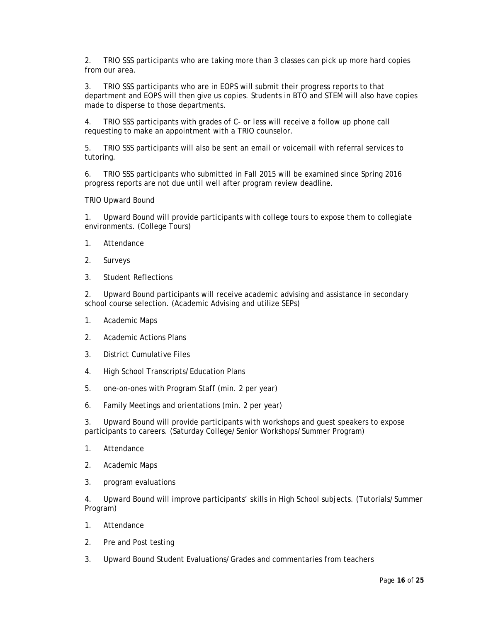2. TRIO SSS participants who are taking more than 3 classes can pick up more hard copies from our area.

3. TRIO SSS participants who are in EOPS will submit their progress reports to that department and EOPS will then give us copies. Students in BTO and STEM will also have copies made to disperse to those departments.

4. TRIO SSS participants with grades of C- or less will receive a follow up phone call requesting to make an appointment with a TRIO counselor.

5. TRIO SSS participants will also be sent an email or voicemail with referral services to tutoring.

6. TRIO SSS participants who submitted in Fall 2015 will be examined since Spring 2016 progress reports are not due until well after program review deadline.

TRIO Upward Bound

1. Upward Bound will provide participants with college tours to expose them to collegiate environments. (College Tours)

- 1. Attendance
- 2. Surveys
- 3. Student Reflections

2. Upward Bound participants will receive academic advising and assistance in secondary school course selection. (Academic Advising and utilize SEPs)

- 1. Academic Maps
- 2. Academic Actions Plans
- 3. District Cumulative Files
- 4. High School Transcripts/Education Plans
- 5. one-on-ones with Program Staff (min. 2 per year)
- 6. Family Meetings and orientations (min. 2 per year)

3. Upward Bound will provide participants with workshops and guest speakers to expose participants to careers. (Saturday College/Senior Workshops/Summer Program)

- 1. Attendance
- 2. Academic Maps
- 3. program evaluations

4. Upward Bound will improve participants' skills in High School subjects. (Tutorials/Summer Program)

- 1. Attendance
- 2. Pre and Post testing
- 3. Upward Bound Student Evaluations/Grades and commentaries from teachers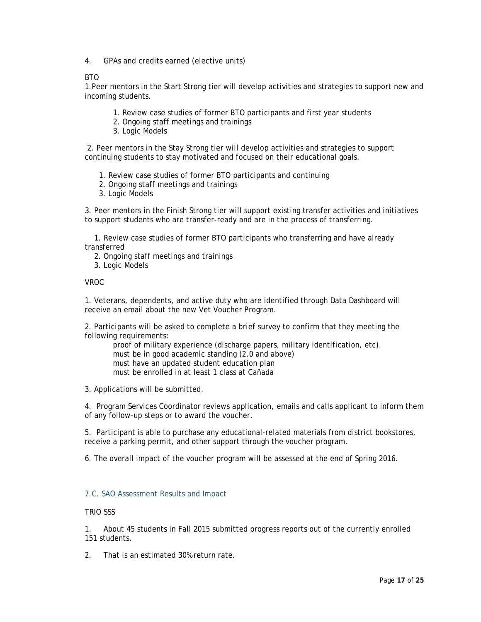4. GPAs and credits earned (elective units)

## **BTO**

1.Peer mentors in the Start Strong tier will develop activities and strategies to support new and incoming students.

- 1. Review case studies of former BTO participants and first year students
- 2. Ongoing staff meetings and trainings
- 3. Logic Models

2. Peer mentors in the Stay Strong tier will develop activities and strategies to support continuing students to stay motivated and focused on their educational goals.

- 1. Review case studies of former BTO participants and continuing
- 2. Ongoing staff meetings and trainings
- 3. Logic Models

3. Peer mentors in the Finish Strong tier will support existing transfer activities and initiatives to support students who are transfer-ready and are in the process of transferring.

1. Review case studies of former BTO participants who transferring and have already transferred

- 2. Ongoing staff meetings and trainings
- 3. Logic Models

## VROC

1. Veterans, dependents, and active duty who are identified through Data Dashboard will receive an email about the new Vet Voucher Program.

2. Participants will be asked to complete a brief survey to confirm that they meeting the following requirements:

proof of military experience (discharge papers, military identification, etc). must be in good academic standing (2.0 and above) must have an updated student education plan must be enrolled in at least 1 class at Cañada

3. Applications will be submitted.

4. Program Services Coordinator reviews application, emails and calls applicant to inform them of any follow-up steps or to award the voucher.

5. Participant is able to purchase any educational-related materials from district bookstores, receive a parking permit, and other support through the voucher program.

6. The overall impact of the voucher program will be assessed at the end of Spring 2016.

## 7.C. SAO Assessment Results and Impact

## TRIO SSS

1. About 45 students in Fall 2015 submitted progress reports out of the currently enrolled 151 students.

2. That is an estimated 30% return rate.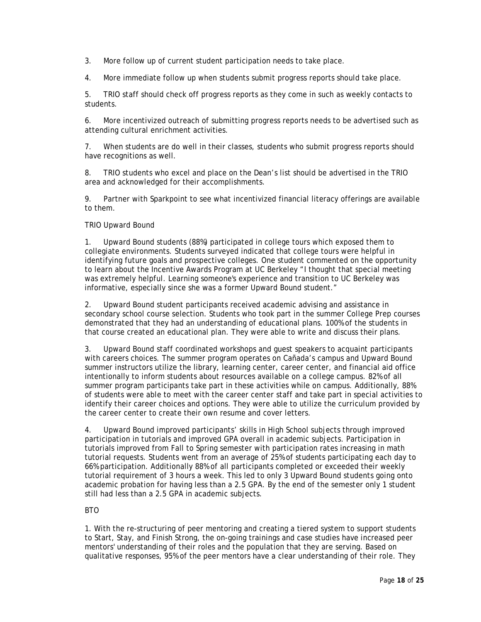3. More follow up of current student participation needs to take place.

4. More immediate follow up when students submit progress reports should take place.

5. TRIO staff should check off progress reports as they come in such as weekly contacts to students.

6. More incentivized outreach of submitting progress reports needs to be advertised such as attending cultural enrichment activities.

7. When students are do well in their classes, students who submit progress reports should have recognitions as well.

8. TRIO students who excel and place on the Dean's list should be advertised in the TRIO area and acknowledged for their accomplishments.

9. Partner with Sparkpoint to see what incentivized financial literacy offerings are available to them.

## TRIO Upward Bound

1. Upward Bound students (88%) participated in college tours which exposed them to collegiate environments. Students surveyed indicated that college tours were helpful in identifying future goals and prospective colleges. One student commented on the opportunity to learn about the Incentive Awards Program at UC Berkeley "I thought that special meeting was extremely helpful. Learning someone's experience and transition to UC Berkeley was informative, especially since she was a former Upward Bound student."

2. Upward Bound student participants received academic advising and assistance in secondary school course selection. Students who took part in the summer College Prep courses demonstrated that they had an understanding of educational plans. 100% of the students in that course created an educational plan. They were able to write and discuss their plans.

3. Upward Bound staff coordinated workshops and guest speakers to acquaint participants with careers choices. The summer program operates on Cañada's campus and Upward Bound summer instructors utilize the library, learning center, career center, and financial aid office intentionally to inform students about resources available on a college campus. 82% of all summer program participants take part in these activities while on campus. Additionally, 88% of students were able to meet with the career center staff and take part in special activities to identify their career choices and options. They were able to utilize the curriculum provided by the career center to create their own resume and cover letters.

4. Upward Bound improved participants' skills in High School subjects through improved participation in tutorials and improved GPA overall in academic subjects. Participation in tutorials improved from Fall to Spring semester with participation rates increasing in math tutorial requests. Students went from an average of 25% of students participating each day to 66% participation. Additionally 88% of all participants completed or exceeded their weekly tutorial requirement of 3 hours a week. This led to only 3 Upward Bound students going onto academic probation for having less than a 2.5 GPA. By the end of the semester only 1 student still had less than a 2.5 GPA in academic subjects.

## BTO

1. With the re-structuring of peer mentoring and creating a tiered system to support students to Start, Stay, and Finish Strong, the on-going trainings and case studies have increased peer mentors' understanding of their roles and the population that they are serving. Based on qualitative responses, 95% of the peer mentors have a clear understanding of their role. They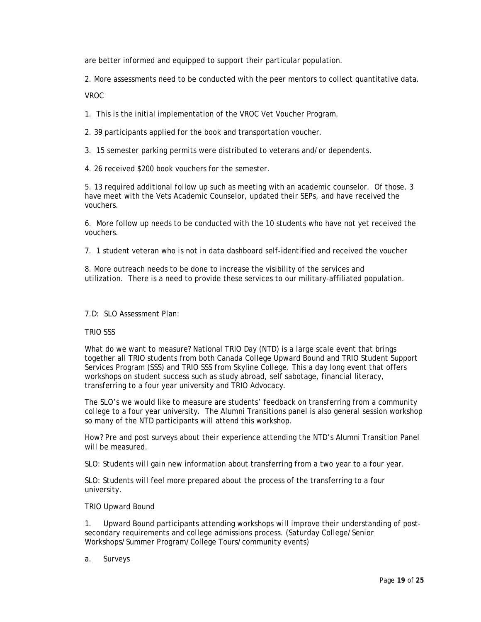are better informed and equipped to support their particular population.

2. More assessments need to be conducted with the peer mentors to collect quantitative data.

VROC

1. This is the initial implementation of the VROC Vet Voucher Program.

2. 39 participants applied for the book and transportation voucher.

3. 15 semester parking permits were distributed to veterans and/or dependents.

4. 26 received \$200 book vouchers for the semester.

5. 13 required additional follow up such as meeting with an academic counselor. Of those, 3 have meet with the Vets Academic Counselor, updated their SEPs, and have received the vouchers.

6. More follow up needs to be conducted with the 10 students who have not yet received the vouchers.

7. 1 student veteran who is not in data dashboard self-identified and received the voucher

8. More outreach needs to be done to increase the visibility of the services and utilization. There is a need to provide these services to our military-affiliated population.

## 7.D: SLO Assessment Plan:

## TRIO SSS

What do we want to measure? National TRIO Day (NTD) is a large scale event that brings together all TRIO students from both Canada College Upward Bound and TRIO Student Support Services Program (SSS) and TRIO SSS from Skyline College. This a day long event that offers workshops on student success such as study abroad, self sabotage, financial literacy, transferring to a four year university and TRIO Advocacy.

The SLO's we would like to measure are students' feedback on transferring from a community college to a four year university. The Alumni Transitions panel is also general session workshop so many of the NTD participants will attend this workshop.

How? Pre and post surveys about their experience attending the NTD's Alumni Transition Panel will be measured.

SLO: Students will gain new information about transferring from a two year to a four year.

SLO: Students will feel more prepared about the process of the transferring to a four university.

## TRIO Upward Bound

1. Upward Bound participants attending workshops will improve their understanding of postsecondary requirements and college admissions process. (Saturday College/Senior Workshops/Summer Program/College Tours/community events)

a. Surveys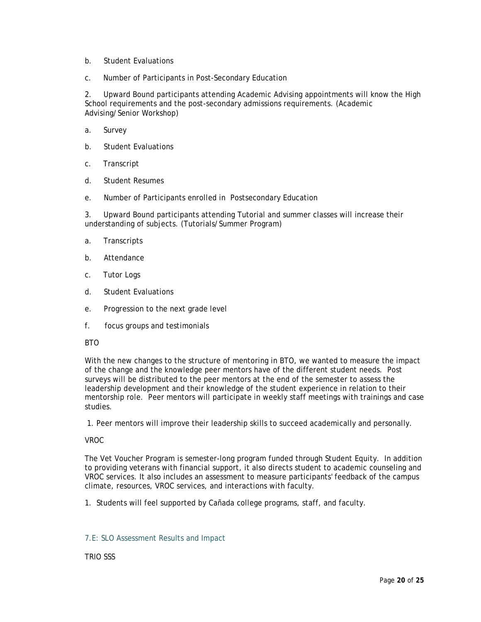- b. Student Evaluations
- c. Number of Participants in Post-Secondary Education

2. Upward Bound participants attending Academic Advising appointments will know the High School requirements and the post-secondary admissions requirements. (Academic Advising/Senior Workshop)

- a. Survey
- b. Student Evaluations
- c. Transcript
- d. Student Resumes
- e. Number of Participants enrolled in Postsecondary Education

3. Upward Bound participants attending Tutorial and summer classes will increase their understanding of subjects. (Tutorials/Summer Program)

- a. Transcripts
- b. Attendance
- c. Tutor Logs
- d. Student Evaluations
- e. Progression to the next grade level
- f. focus groups and testimonials
- BTO

With the new changes to the structure of mentoring in BTO, we wanted to measure the impact of the change and the knowledge peer mentors have of the different student needs. Post surveys will be distributed to the peer mentors at the end of the semester to assess the leadership development and their knowledge of the student experience in relation to their mentorship role. Peer mentors will participate in weekly staff meetings with trainings and case studies.

1. Peer mentors will improve their leadership skills to succeed academically and personally.

## VROC

The Vet Voucher Program is semester-long program funded through Student Equity. In addition to providing veterans with financial support, it also directs student to academic counseling and VROC services. It also includes an assessment to measure participants' feedback of the campus climate, resources, VROC services, and interactions with faculty.

1. Students will feel supported by Cañada college programs, staff, and faculty.

## 7.E: SLO Assessment Results and Impact

TRIO SSS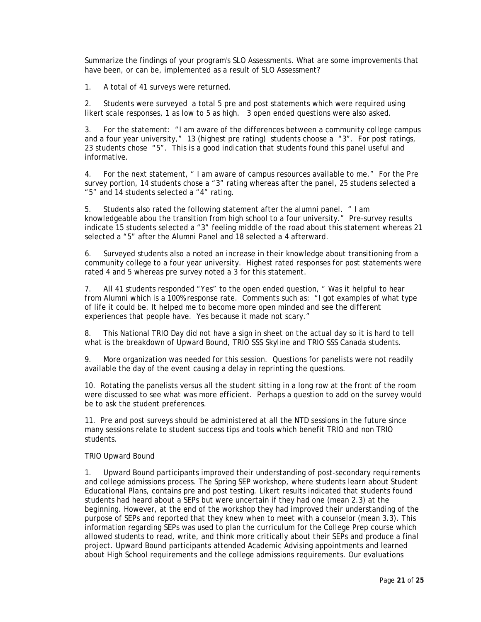Summarize the findings of your program's SLO Assessments. What are some improvements that have been, or can be, implemented as a result of SLO Assessment?

1. A total of 41 surveys were returned.

2. Students were surveyed a total 5 pre and post statements which were required using likert scale responses, 1 as low to 5 as high. 3 open ended questions were also asked.

3. For the statement: "I am aware of the differences between a community college campus and a four year university," 13 (highest pre rating) students choose a "3". For post ratings, 23 students chose "5". This is a good indication that students found this panel useful and informative.

4. For the next statement, " I am aware of campus resources available to me." For the Pre survey portion, 14 students chose a "3" rating whereas after the panel, 25 studens selected a "5" and 14 students selected a "4" rating.

5. Students also rated the following statement after the alumni panel. " I am knowledgeable abou the transition from high school to a four university." Pre-survey results indicate 15 students selected a "3" feeling middle of the road about this statement whereas 21 selected a "5" after the Alumni Panel and 18 selected a 4 afterward.

6. Surveyed students also a noted an increase in their knowledge about transitioning from a community college to a four year university. Highest rated responses for post statements were rated 4 and 5 whereas pre survey noted a 3 for this statement.

7. All 41 students responded "Yes" to the open ended question, " Was it helpful to hear from Alumni which is a 100% response rate. Comments such as: "I got examples of what type of life it could be. It helped me to become more open minded and see the different experiences that people have. Yes because it made not scary."

8. This National TRIO Day did not have a sign in sheet on the actual day so it is hard to tell what is the breakdown of Upward Bound, TRIO SSS Skyline and TRIO SSS Canada students.

9. More organization was needed for this session. Questions for panelists were not readily available the day of the event causing a delay in reprinting the questions.

10. Rotating the panelists versus all the student sitting in a long row at the front of the room were discussed to see what was more efficient. Perhaps a question to add on the survey would be to ask the student preferences.

11. Pre and post surveys should be administered at all the NTD sessions in the future since many sessions relate to student success tips and tools which benefit TRIO and non TRIO students.

### TRIO Upward Bound

1. Upward Bound participants improved their understanding of post-secondary requirements and college admissions process. The Spring SEP workshop, where students learn about Student Educational Plans, contains pre and post testing. Likert results indicated that students found students had heard about a SEPs but were uncertain if they had one (mean 2.3) at the beginning. However, at the end of the workshop they had improved their understanding of the purpose of SEPs and reported that they knew when to meet with a counselor (mean 3.3). This information regarding SEPs was used to plan the curriculum for the College Prep course which allowed students to read, write, and think more critically about their SEPs and produce a final project. Upward Bound participants attended Academic Advising appointments and learned about High School requirements and the college admissions requirements. Our evaluations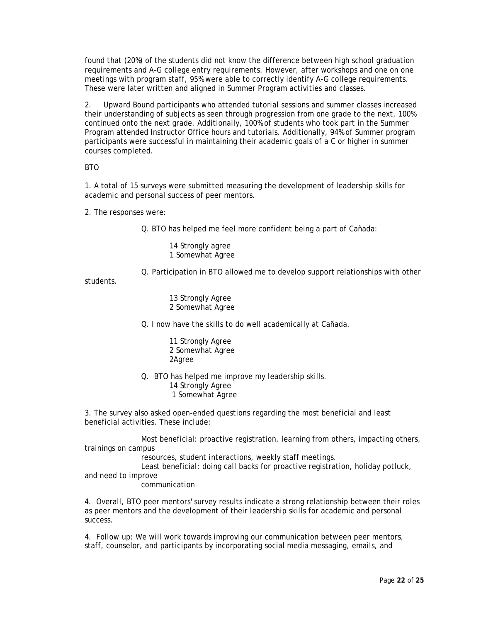found that (20%) of the students did not know the difference between high school graduation requirements and A-G college entry requirements. However, after workshops and one on one meetings with program staff, 95% were able to correctly identify A-G college requirements. These were later written and aligned in Summer Program activities and classes.

2. Upward Bound participants who attended tutorial sessions and summer classes increased their understanding of subjects as seen through progression from one grade to the next, 100% continued onto the next grade. Additionally, 100% of students who took part in the Summer Program attended Instructor Office hours and tutorials. Additionally, 94% of Summer program participants were successful in maintaining their academic goals of a C or higher in summer courses completed.

BTO

1. A total of 15 surveys were submitted measuring the development of leadership skills for academic and personal success of peer mentors.

2. The responses were:

Q. BTO has helped me feel more confident being a part of Cañada:

14 Strongly agree 1 Somewhat Agree

Q. Participation in BTO allowed me to develop support relationships with other

students.

13 Strongly Agree 2 Somewhat Agree

Q. I now have the skills to do well academically at Cañada.

11 Strongly Agree 2 Somewhat Agree 2Agree

Q. BTO has helped me improve my leadership skills. 14 Strongly Agree 1 Somewhat Agree

3. The survey also asked open-ended questions regarding the most beneficial and least beneficial activities. These include:

Most beneficial: proactive registration, learning from others, impacting others, trainings on campus

resources, student interactions, weekly staff meetings.

Least beneficial: doing call backs for proactive registration, holiday potluck, and need to improve

communication

4. Overall, BTO peer mentors' survey results indicate a strong relationship between their roles as peer mentors and the development of their leadership skills for academic and personal success.

4. Follow up: We will work towards improving our communication between peer mentors, staff, counselor, and participants by incorporating social media messaging, emails, and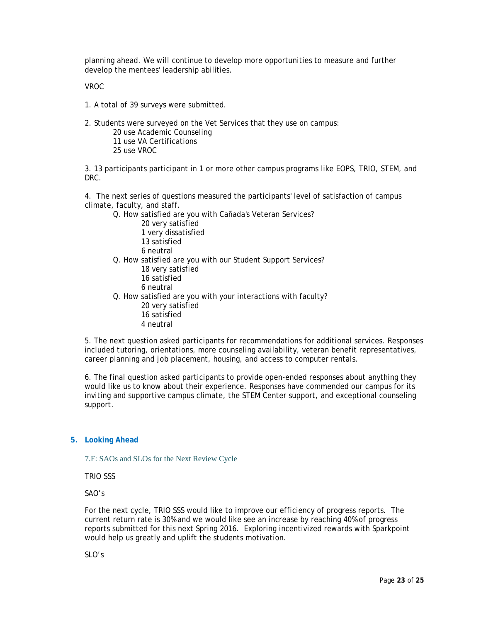planning ahead. We will continue to develop more opportunities to measure and further develop the mentees' leadership abilities.

VROC

1. A total of 39 surveys were submitted.

2. Students were surveyed on the Vet Services that they use on campus:

20 use Academic Counseling

- 11 use VA Certifications
- 25 use VROC

3. 13 participants participant in 1 or more other campus programs like EOPS, TRIO, STEM, and DRC.

4. The next series of questions measured the participants' level of satisfaction of campus climate, faculty, and staff.

Q. How satisfied are you with Cañada's Veteran Services?

 very satisfied very dissatisfied satisfied 6 neutral

- Q. How satisfied are you with our Student Support Services?
	- 18 very satisfied 16 satisfied
	- 6 neutral

Q. How satisfied are you with your interactions with faculty?

- 20 very satisfied
- 16 satisfied
- 4 neutral

5. The next question asked participants for recommendations for additional services. Responses included tutoring, orientations, more counseling availability, veteran benefit representatives, career planning and job placement, housing, and access to computer rentals.

6. The final question asked participants to provide open-ended responses about anything they would like us to know about their experience. Responses have commended our campus for its inviting and supportive campus climate, the STEM Center support, and exceptional counseling support.

## **5. Looking Ahead**

7.F: SAOs and SLOs for the Next Review Cycle

TRIO SSS

SAO's

For the next cycle, TRIO SSS would like to improve our efficiency of progress reports. The current return rate is 30% and we would like see an increase by reaching 40% of progress reports submitted for this next Spring 2016. Exploring incentivized rewards with Sparkpoint would help us greatly and uplift the students motivation.

SLO's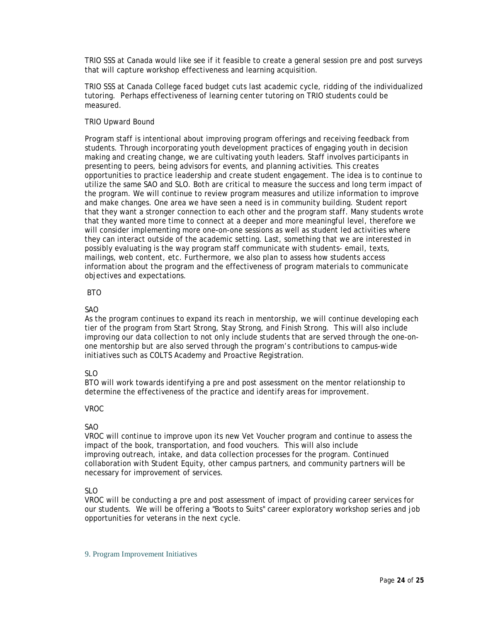TRIO SSS at Canada would like see if it feasible to create a general session pre and post surveys that will capture workshop effectiveness and learning acquisition.

TRIO SSS at Canada College faced budget cuts last academic cycle, ridding of the individualized tutoring. Perhaps effectiveness of learning center tutoring on TRIO students could be measured.

## TRIO Upward Bound

Program staff is intentional about improving program offerings and receiving feedback from students. Through incorporating youth development practices of engaging youth in decision making and creating change, we are cultivating youth leaders. Staff involves participants in presenting to peers, being advisors for events, and planning activities. This creates opportunities to practice leadership and create student engagement. The idea is to continue to utilize the same SAO and SLO. Both are critical to measure the success and long term impact of the program. We will continue to review program measures and utilize information to improve and make changes. One area we have seen a need is in community building. Student report that they want a stronger connection to each other and the program staff. Many students wrote that they wanted more time to connect at a deeper and more meaningful level, therefore we will consider implementing more one-on-one sessions as well as student led activities where they can interact outside of the academic setting. Last, something that we are interested in possibly evaluating is the way program staff communicate with students- email, texts, mailings, web content, etc. Furthermore, we also plan to assess how students access information about the program and the effectiveness of program materials to communicate objectives and expectations.

### BTO

## SAO

As the program continues to expand its reach in mentorship, we will continue developing each tier of the program from Start Strong, Stay Strong, and Finish Strong. This will also include improving our data collection to not only include students that are served through the one-onone mentorship but are also served through the program's contributions to campus-wide initiatives such as COLTS Academy and Proactive Registration.

## $SI<sub>O</sub>$

BTO will work towards identifying a pre and post assessment on the mentor relationship to determine the effectiveness of the practice and identify areas for improvement.

## VROC

## SAO

VROC will continue to improve upon its new Vet Voucher program and continue to assess the impact of the book, transportation, and food vouchers. This will also include improving outreach, intake, and data collection processes for the program. Continued collaboration with Student Equity, other campus partners, and community partners will be necessary for improvement of services.

## SLO

VROC will be conducting a pre and post assessment of impact of providing career services for our students. We will be offering a "Boots to Suits" career exploratory workshop series and job opportunities for veterans in the next cycle.

#### 9. Program Improvement Initiatives